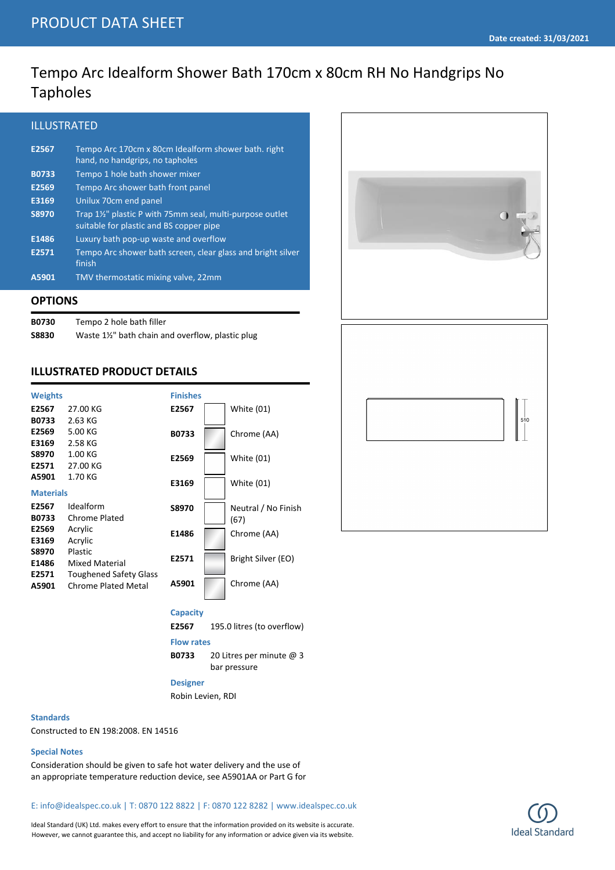# Tempo Arc Idealform Shower Bath 170cm x 80cm RH No Handgrips No Tapholes

## ILLUSTRATED

| E2567        | Tempo Arc 170cm x 80cm Idealform shower bath. right<br>hand, no handgrips, no tapholes             |
|--------------|----------------------------------------------------------------------------------------------------|
| <b>B0733</b> | Tempo 1 hole bath shower mixer                                                                     |
| E2569        | Tempo Arc shower bath front panel                                                                  |
| E3169        | Unilux 70cm end panel                                                                              |
| <b>S8970</b> | Trap 1½" plastic P with 75mm seal, multi-purpose outlet<br>suitable for plastic and BS copper pipe |
| E1486        | Luxury bath pop-up waste and overflow                                                              |
| E2571        | Tempo Arc shower bath screen, clear glass and bright silver<br>finish                              |
| A5901        | TMV thermostatic mixing valve, 22mm                                                                |

### **OPTIONS**

| <b>B0730</b> | Tempo 2 hole bath filler                        |
|--------------|-------------------------------------------------|
| S8830        | Waste 1½" bath chain and overflow, plastic plug |

## **ILLUSTRATED PRODUCT DETAILS**

| <b>Weights</b>   |                               | <b>Finishes</b> |                     |
|------------------|-------------------------------|-----------------|---------------------|
| E2567            | 27.00 KG                      | E2567           | White (01)          |
| <b>B0733</b>     | 2.63 KG                       |                 |                     |
| E2569            | 5.00 KG                       | <b>B0733</b>    | Chrome (AA)         |
| E3169            | 2.58 KG                       |                 |                     |
| <b>S8970</b>     | 1.00 KG                       | E2569           | <b>White (01)</b>   |
| E2571            | 27.00 KG                      |                 |                     |
| A5901            | 1.70 KG                       | E3169           | <b>White (01)</b>   |
| <b>Materials</b> |                               |                 |                     |
| E2567            | Idealform                     | <b>S8970</b>    | Neutral / No Finish |
| <b>B0733</b>     | Chrome Plated                 |                 | (67)                |
| E2569            | Acrylic                       | E1486           | Chrome (AA)         |
| E3169            | Acrylic                       |                 |                     |
| <b>S8970</b>     | Plastic                       |                 |                     |
| E1486            | Mixed Material                | E2571           | Bright Silver (EO)  |
| E2571            | <b>Toughened Safety Glass</b> |                 |                     |
| A5901            | <b>Chrome Plated Metal</b>    | A5901           | Chrome (AA)         |
|                  |                               |                 |                     |



**E2567** 195.0 litres (to overflow)

#### **Flow rates**

**B0733** 20 Litres per minute @ 3 bar pressure

#### **Designer**

Robin Levien, RDI

#### **Standards**

Constructed to EN 198:2008. EN 14516

### **Special Notes**

Consideration should be given to safe hot water delivery and the use of an appropriate temperature reduction device, see A5901AA or Part G for

E: info@idealspec.co.uk | T: 0870 122 8822 | F: 0870 122 8282 | www.idealspec.co.uk